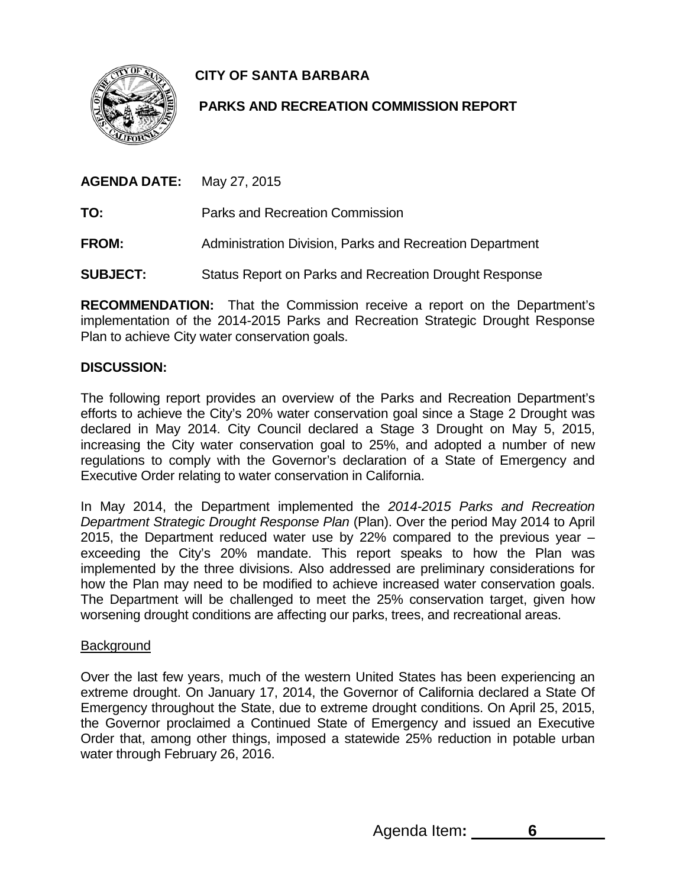**CITY OF SANTA BARBARA**



# **PARKS AND RECREATION COMMISSION REPORT**

**AGENDA DATE:** May 27, 2015

**TO:** Parks and Recreation Commission

**FROM:** Administration Division, Parks and Recreation Department

**SUBJECT:** Status Report on Parks and Recreation Drought Response

**RECOMMENDATION:** That the Commission receive a report on the Department's implementation of the 2014-2015 Parks and Recreation Strategic Drought Response Plan to achieve City water conservation goals.

## **DISCUSSION:**

The following report provides an overview of the Parks and Recreation Department's efforts to achieve the City's 20% water conservation goal since a Stage 2 Drought was declared in May 2014. City Council declared a Stage 3 Drought on May 5, 2015, increasing the City water conservation goal to 25%, and adopted a number of new regulations to comply with the Governor's declaration of a State of Emergency and Executive Order relating to water conservation in California.

In May 2014, the Department implemented the *2014-2015 Parks and Recreation Department Strategic Drought Response Plan* (Plan). Over the period May 2014 to April 2015, the Department reduced water use by 22% compared to the previous year – exceeding the City's 20% mandate. This report speaks to how the Plan was implemented by the three divisions. Also addressed are preliminary considerations for how the Plan may need to be modified to achieve increased water conservation goals. The Department will be challenged to meet the 25% conservation target, given how worsening drought conditions are affecting our parks, trees, and recreational areas.

### **Background**

Over the last few years, much of the western United States has been experiencing an extreme drought. On January 17, 2014, the Governor of California declared a State Of Emergency throughout the State, due to extreme drought conditions. On April 25, 2015, the Governor proclaimed a Continued State of Emergency and issued an Executive Order that, among other things, imposed a statewide 25% reduction in potable urban water through February 26, 2016.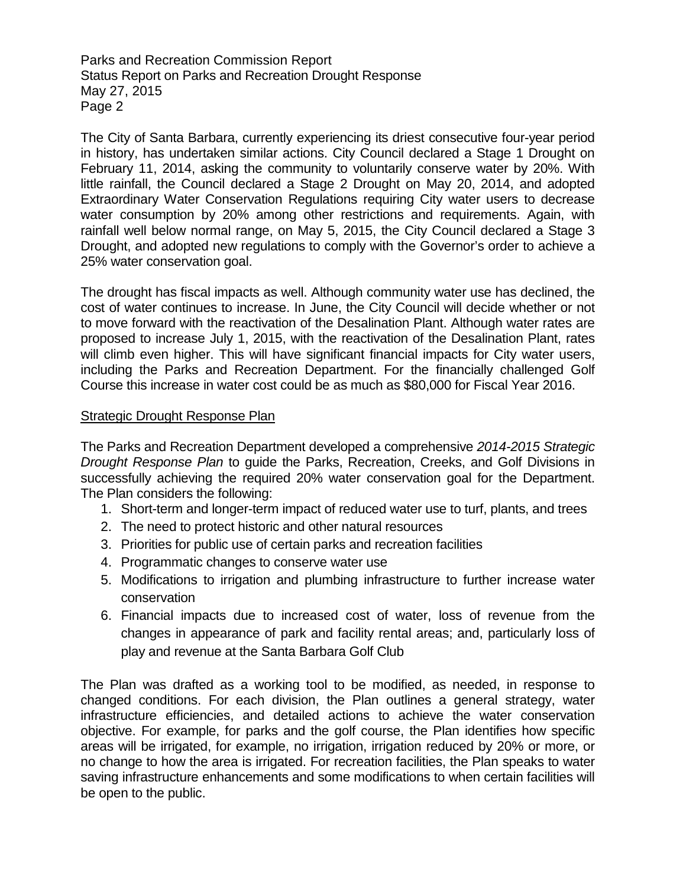The City of Santa Barbara, currently experiencing its driest consecutive four-year period in history, has undertaken similar actions. City Council declared a Stage 1 Drought on February 11, 2014, asking the community to voluntarily conserve water by 20%. With little rainfall, the Council declared a Stage 2 Drought on May 20, 2014, and adopted Extraordinary Water Conservation Regulations requiring City water users to decrease water consumption by 20% among other restrictions and requirements. Again, with rainfall well below normal range, on May 5, 2015, the City Council declared a Stage 3 Drought, and adopted new regulations to comply with the Governor's order to achieve a 25% water conservation goal.

The drought has fiscal impacts as well. Although community water use has declined, the cost of water continues to increase. In June, the City Council will decide whether or not to move forward with the reactivation of the Desalination Plant. Although water rates are proposed to increase July 1, 2015, with the reactivation of the Desalination Plant, rates will climb even higher. This will have significant financial impacts for City water users, including the Parks and Recreation Department. For the financially challenged Golf Course this increase in water cost could be as much as \$80,000 for Fiscal Year 2016.

#### Strategic Drought Response Plan

The Parks and Recreation Department developed a comprehensive *2014-2015 Strategic Drought Response Plan* to guide the Parks, Recreation, Creeks, and Golf Divisions in successfully achieving the required 20% water conservation goal for the Department. The Plan considers the following:

- 1. Short-term and longer-term impact of reduced water use to turf, plants, and trees
- 2. The need to protect historic and other natural resources
- 3. Priorities for public use of certain parks and recreation facilities
- 4. Programmatic changes to conserve water use
- 5. Modifications to irrigation and plumbing infrastructure to further increase water conservation
- 6. Financial impacts due to increased cost of water, loss of revenue from the changes in appearance of park and facility rental areas; and, particularly loss of play and revenue at the Santa Barbara Golf Club

The Plan was drafted as a working tool to be modified, as needed, in response to changed conditions. For each division, the Plan outlines a general strategy, water infrastructure efficiencies, and detailed actions to achieve the water conservation objective. For example, for parks and the golf course, the Plan identifies how specific areas will be irrigated, for example, no irrigation, irrigation reduced by 20% or more, or no change to how the area is irrigated. For recreation facilities, the Plan speaks to water saving infrastructure enhancements and some modifications to when certain facilities will be open to the public.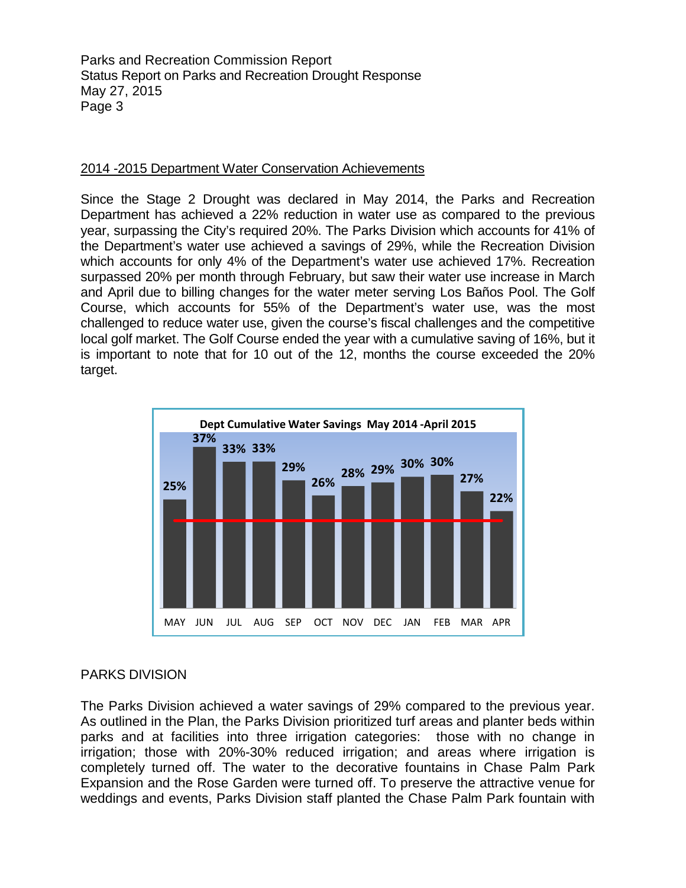### 2014 -2015 Department Water Conservation Achievements

Since the Stage 2 Drought was declared in May 2014, the Parks and Recreation Department has achieved a 22% reduction in water use as compared to the previous year, surpassing the City's required 20%. The Parks Division which accounts for 41% of the Department's water use achieved a savings of 29%, while the Recreation Division which accounts for only 4% of the Department's water use achieved 17%. Recreation surpassed 20% per month through February, but saw their water use increase in March and April due to billing changes for the water meter serving Los Baños Pool. The Golf Course, which accounts for 55% of the Department's water use, was the most challenged to reduce water use, given the course's fiscal challenges and the competitive local golf market. The Golf Course ended the year with a cumulative saving of 16%, but it is important to note that for 10 out of the 12, months the course exceeded the 20% target.



### PARKS DIVISION

The Parks Division achieved a water savings of 29% compared to the previous year. As outlined in the Plan, the Parks Division prioritized turf areas and planter beds within parks and at facilities into three irrigation categories: those with no change in irrigation; those with 20%-30% reduced irrigation; and areas where irrigation is completely turned off. The water to the decorative fountains in Chase Palm Park Expansion and the Rose Garden were turned off. To preserve the attractive venue for weddings and events, Parks Division staff planted the Chase Palm Park fountain with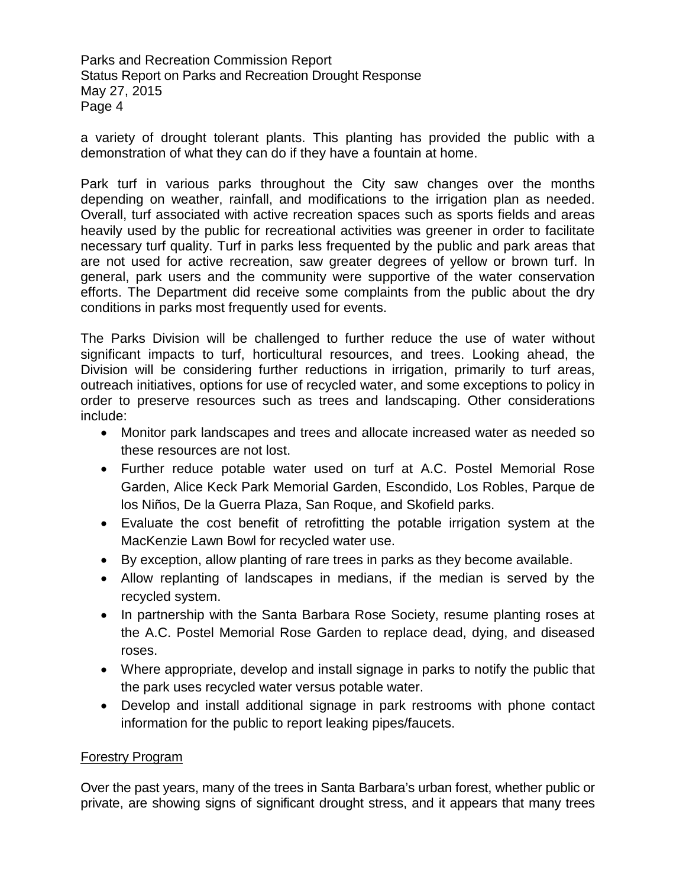a variety of drought tolerant plants. This planting has provided the public with a demonstration of what they can do if they have a fountain at home.

Park turf in various parks throughout the City saw changes over the months depending on weather, rainfall, and modifications to the irrigation plan as needed. Overall, turf associated with active recreation spaces such as sports fields and areas heavily used by the public for recreational activities was greener in order to facilitate necessary turf quality. Turf in parks less frequented by the public and park areas that are not used for active recreation, saw greater degrees of yellow or brown turf. In general, park users and the community were supportive of the water conservation efforts. The Department did receive some complaints from the public about the dry conditions in parks most frequently used for events.

The Parks Division will be challenged to further reduce the use of water without significant impacts to turf, horticultural resources, and trees. Looking ahead, the Division will be considering further reductions in irrigation, primarily to turf areas, outreach initiatives, options for use of recycled water, and some exceptions to policy in order to preserve resources such as trees and landscaping. Other considerations include:

- Monitor park landscapes and trees and allocate increased water as needed so these resources are not lost.
- Further reduce potable water used on turf at A.C. Postel Memorial Rose Garden, Alice Keck Park Memorial Garden, Escondido, Los Robles, Parque de los Niños, De la Guerra Plaza, San Roque, and Skofield parks.
- Evaluate the cost benefit of retrofitting the potable irrigation system at the MacKenzie Lawn Bowl for recycled water use.
- By exception, allow planting of rare trees in parks as they become available.
- Allow replanting of landscapes in medians, if the median is served by the recycled system.
- In partnership with the Santa Barbara Rose Society, resume planting roses at the A.C. Postel Memorial Rose Garden to replace dead, dying, and diseased roses.
- Where appropriate, develop and install signage in parks to notify the public that the park uses recycled water versus potable water.
- Develop and install additional signage in park restrooms with phone contact information for the public to report leaking pipes/faucets.

### Forestry Program

Over the past years, many of the trees in Santa Barbara's urban forest, whether public or private, are showing signs of significant drought stress, and it appears that many trees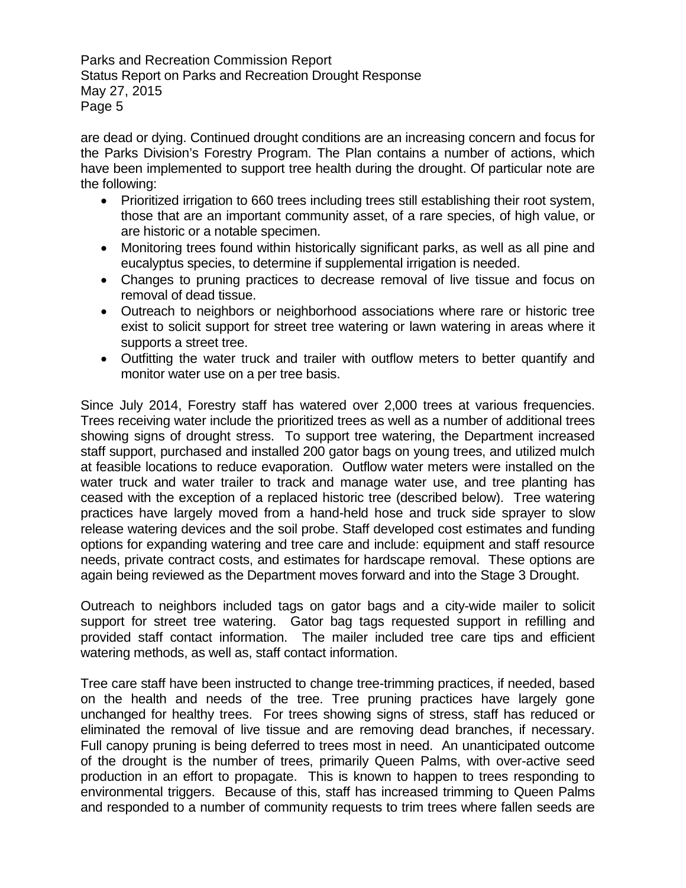are dead or dying. Continued drought conditions are an increasing concern and focus for the Parks Division's Forestry Program. The Plan contains a number of actions, which have been implemented to support tree health during the drought. Of particular note are the following:

- Prioritized irrigation to 660 trees including trees still establishing their root system, those that are an important community asset, of a rare species, of high value, or are historic or a notable specimen.
- Monitoring trees found within historically significant parks, as well as all pine and eucalyptus species, to determine if supplemental irrigation is needed.
- Changes to pruning practices to decrease removal of live tissue and focus on removal of dead tissue.
- Outreach to neighbors or neighborhood associations where rare or historic tree exist to solicit support for street tree watering or lawn watering in areas where it supports a street tree.
- Outfitting the water truck and trailer with outflow meters to better quantify and monitor water use on a per tree basis.

Since July 2014, Forestry staff has watered over 2,000 trees at various frequencies. Trees receiving water include the prioritized trees as well as a number of additional trees showing signs of drought stress. To support tree watering, the Department increased staff support, purchased and installed 200 gator bags on young trees, and utilized mulch at feasible locations to reduce evaporation. Outflow water meters were installed on the water truck and water trailer to track and manage water use, and tree planting has ceased with the exception of a replaced historic tree (described below). Tree watering practices have largely moved from a hand-held hose and truck side sprayer to slow release watering devices and the soil probe. Staff developed cost estimates and funding options for expanding watering and tree care and include: equipment and staff resource needs, private contract costs, and estimates for hardscape removal. These options are again being reviewed as the Department moves forward and into the Stage 3 Drought.

Outreach to neighbors included tags on gator bags and a city-wide mailer to solicit support for street tree watering. Gator bag tags requested support in refilling and provided staff contact information. The mailer included tree care tips and efficient watering methods, as well as, staff contact information.

Tree care staff have been instructed to change tree-trimming practices, if needed, based on the health and needs of the tree. Tree pruning practices have largely gone unchanged for healthy trees. For trees showing signs of stress, staff has reduced or eliminated the removal of live tissue and are removing dead branches, if necessary. Full canopy pruning is being deferred to trees most in need. An unanticipated outcome of the drought is the number of trees, primarily Queen Palms, with over-active seed production in an effort to propagate. This is known to happen to trees responding to environmental triggers. Because of this, staff has increased trimming to Queen Palms and responded to a number of community requests to trim trees where fallen seeds are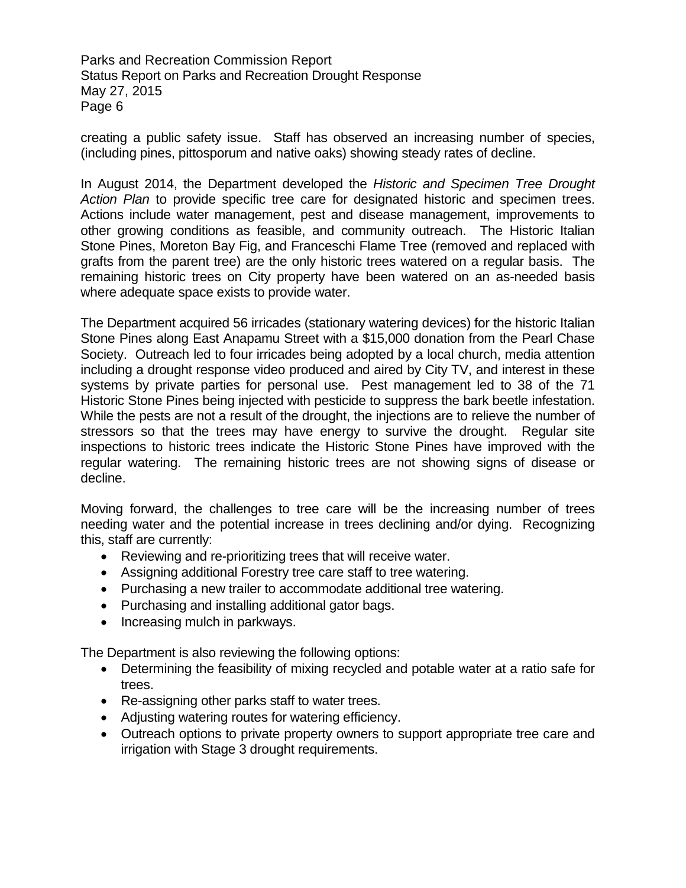creating a public safety issue. Staff has observed an increasing number of species, (including pines, pittosporum and native oaks) showing steady rates of decline.

In August 2014, the Department developed the *Historic and Specimen Tree Drought Action Plan* to provide specific tree care for designated historic and specimen trees. Actions include water management, pest and disease management, improvements to other growing conditions as feasible, and community outreach. The Historic Italian Stone Pines, Moreton Bay Fig, and Franceschi Flame Tree (removed and replaced with grafts from the parent tree) are the only historic trees watered on a regular basis. The remaining historic trees on City property have been watered on an as-needed basis where adequate space exists to provide water.

The Department acquired 56 irricades (stationary watering devices) for the historic Italian Stone Pines along East Anapamu Street with a \$15,000 donation from the Pearl Chase Society. Outreach led to four irricades being adopted by a local church, media attention including a drought response video produced and aired by City TV, and interest in these systems by private parties for personal use. Pest management led to 38 of the 71 Historic Stone Pines being injected with pesticide to suppress the bark beetle infestation. While the pests are not a result of the drought, the injections are to relieve the number of stressors so that the trees may have energy to survive the drought. Regular site inspections to historic trees indicate the Historic Stone Pines have improved with the regular watering. The remaining historic trees are not showing signs of disease or decline.

Moving forward, the challenges to tree care will be the increasing number of trees needing water and the potential increase in trees declining and/or dying. Recognizing this, staff are currently:

- Reviewing and re-prioritizing trees that will receive water.
- Assigning additional Forestry tree care staff to tree watering.
- Purchasing a new trailer to accommodate additional tree watering.
- Purchasing and installing additional gator bags.
- Increasing mulch in parkways.

The Department is also reviewing the following options:

- Determining the feasibility of mixing recycled and potable water at a ratio safe for trees.
- Re-assigning other parks staff to water trees.
- Adjusting watering routes for watering efficiency.
- Outreach options to private property owners to support appropriate tree care and irrigation with Stage 3 drought requirements.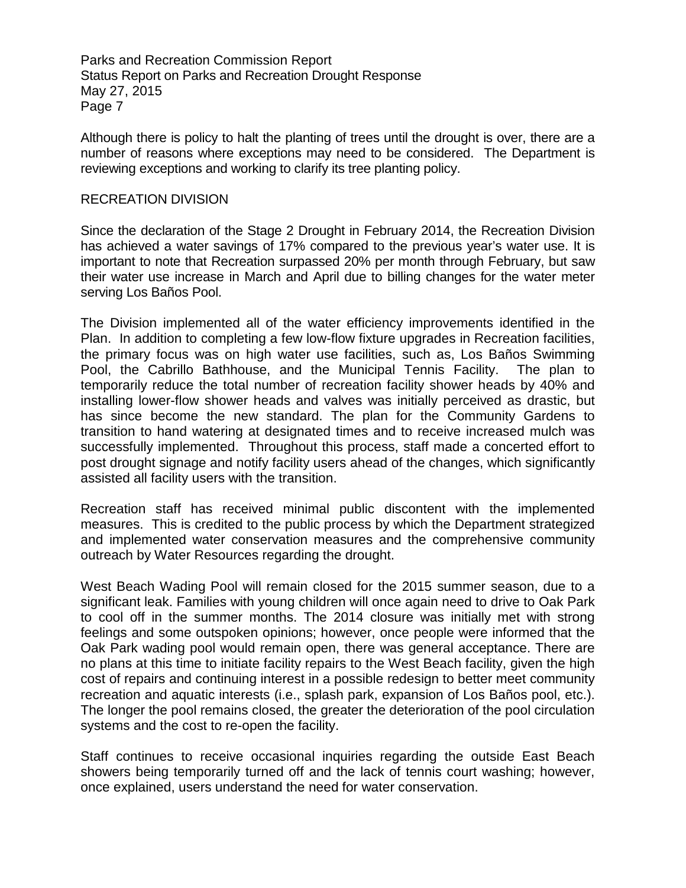Although there is policy to halt the planting of trees until the drought is over, there are a number of reasons where exceptions may need to be considered. The Department is reviewing exceptions and working to clarify its tree planting policy.

#### RECREATION DIVISION

Since the declaration of the Stage 2 Drought in February 2014, the Recreation Division has achieved a water savings of 17% compared to the previous year's water use. It is important to note that Recreation surpassed 20% per month through February, but saw their water use increase in March and April due to billing changes for the water meter serving Los Baños Pool.

The Division implemented all of the water efficiency improvements identified in the Plan. In addition to completing a few low-flow fixture upgrades in Recreation facilities, the primary focus was on high water use facilities, such as, Los Baños Swimming Pool, the Cabrillo Bathhouse, and the Municipal Tennis Facility. The plan to temporarily reduce the total number of recreation facility shower heads by 40% and installing lower-flow shower heads and valves was initially perceived as drastic, but has since become the new standard. The plan for the Community Gardens to transition to hand watering at designated times and to receive increased mulch was successfully implemented. Throughout this process, staff made a concerted effort to post drought signage and notify facility users ahead of the changes, which significantly assisted all facility users with the transition.

Recreation staff has received minimal public discontent with the implemented measures. This is credited to the public process by which the Department strategized and implemented water conservation measures and the comprehensive community outreach by Water Resources regarding the drought.

West Beach Wading Pool will remain closed for the 2015 summer season, due to a significant leak. Families with young children will once again need to drive to Oak Park to cool off in the summer months. The 2014 closure was initially met with strong feelings and some outspoken opinions; however, once people were informed that the Oak Park wading pool would remain open, there was general acceptance. There are no plans at this time to initiate facility repairs to the West Beach facility, given the high cost of repairs and continuing interest in a possible redesign to better meet community recreation and aquatic interests (i.e., splash park, expansion of Los Baños pool, etc.). The longer the pool remains closed, the greater the deterioration of the pool circulation systems and the cost to re-open the facility.

Staff continues to receive occasional inquiries regarding the outside East Beach showers being temporarily turned off and the lack of tennis court washing; however, once explained, users understand the need for water conservation.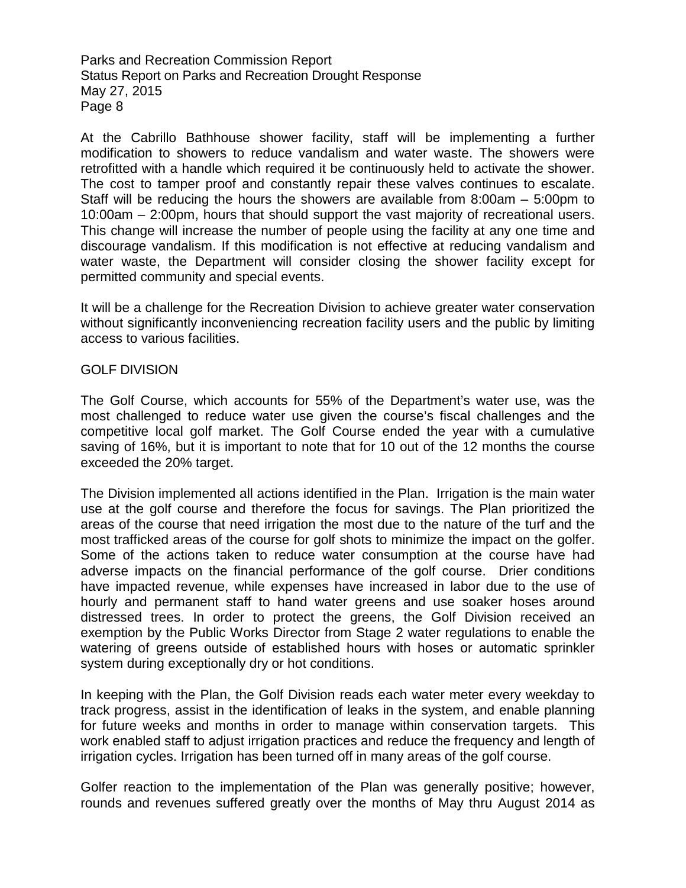At the Cabrillo Bathhouse shower facility, staff will be implementing a further modification to showers to reduce vandalism and water waste. The showers were retrofitted with a handle which required it be continuously held to activate the shower. The cost to tamper proof and constantly repair these valves continues to escalate. Staff will be reducing the hours the showers are available from 8:00am – 5:00pm to 10:00am – 2:00pm, hours that should support the vast majority of recreational users. This change will increase the number of people using the facility at any one time and discourage vandalism. If this modification is not effective at reducing vandalism and water waste, the Department will consider closing the shower facility except for permitted community and special events.

It will be a challenge for the Recreation Division to achieve greater water conservation without significantly inconveniencing recreation facility users and the public by limiting access to various facilities.

#### GOLF DIVISION

The Golf Course, which accounts for 55% of the Department's water use, was the most challenged to reduce water use given the course's fiscal challenges and the competitive local golf market. The Golf Course ended the year with a cumulative saving of 16%, but it is important to note that for 10 out of the 12 months the course exceeded the 20% target.

The Division implemented all actions identified in the Plan. Irrigation is the main water use at the golf course and therefore the focus for savings. The Plan prioritized the areas of the course that need irrigation the most due to the nature of the turf and the most trafficked areas of the course for golf shots to minimize the impact on the golfer. Some of the actions taken to reduce water consumption at the course have had adverse impacts on the financial performance of the golf course. Drier conditions have impacted revenue, while expenses have increased in labor due to the use of hourly and permanent staff to hand water greens and use soaker hoses around distressed trees. In order to protect the greens, the Golf Division received an exemption by the Public Works Director from Stage 2 water regulations to enable the watering of greens outside of established hours with hoses or automatic sprinkler system during exceptionally dry or hot conditions.

In keeping with the Plan, the Golf Division reads each water meter every weekday to track progress, assist in the identification of leaks in the system, and enable planning for future weeks and months in order to manage within conservation targets. This work enabled staff to adjust irrigation practices and reduce the frequency and length of irrigation cycles. Irrigation has been turned off in many areas of the golf course.

Golfer reaction to the implementation of the Plan was generally positive; however, rounds and revenues suffered greatly over the months of May thru August 2014 as